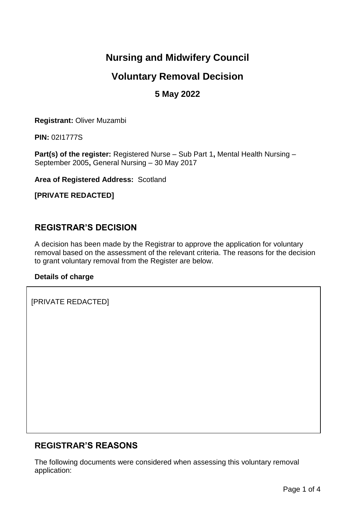# **Nursing and Midwifery Council**

# **Voluntary Removal Decision**

## **5 May 2022**

**Registrant:** Oliver Muzambi

**PIN:** 02I1777S

**Part(s) of the register:** Registered Nurse – Sub Part 1**,** Mental Health Nursing – September 2005**,** General Nursing – 30 May 2017

**Area of Registered Address:** Scotland

**[PRIVATE REDACTED]**

### **REGISTRAR'S DECISION**

A decision has been made by the Registrar to approve the application for voluntary removal based on the assessment of the relevant criteria. The reasons for the decision to grant voluntary removal from the Register are below.

#### **Details of charge**

 $1.5\,$  Suffer from, and or have in the past suffered from, the past suffered from, the health condition as set out [PRIVATE REDACTED]

## **REGISTRAR'S REASONS**

The following documents were considered when assessing this voluntary removal application: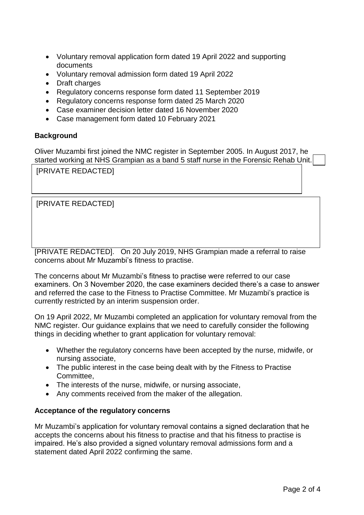- Voluntary removal application form dated 19 April 2022 and supporting documents
- Voluntary removal admission form dated 19 April 2022
- Draft charges
- Regulatory concerns response form dated 11 September 2019
- Regulatory concerns response form dated 25 March 2020
- Case examiner decision letter dated 16 November 2020
- Case management form dated 10 February 2021

#### **Background**

Oliver Muzambi first joined the NMC register in September 2005. In August 2017, he started working at NHS Grampian as a band 5 staff nurse in the Forensic Rehab Unit.

[PRIVATE REDACTED] THE TOLD NHS GRAMPIAN ABOUT THE TOP THIS GRAMPIAN ABOUT THE TOP THIS DURING THE TOP THE TOP THE TOP THE TOP THE TOP THE TOP THE TOP THE TOP THE TOP THE TOP THE TOP THE TOP THE TOP THE TOP THE TOP THE TOP  $P$  and he was fit for the post and had been left with no fit for the post and had been left with no fit  $p$ 

[PRIVATE REDACTED]  $\mathbf{r}$  to calculation out his role because of different, communication with time management, communication

[PRIVATE REDACTED]. On 20 July 2019, NHS Grampian made a referral to raise concerns about Mr Muzambi's fitness to practise.

The concerns about Mr Muzambi's fitness to practise were referred to our case examiners. On 3 November 2020, the case examiners decided there's a case to answer and referred the case to the Fitness to Practise Committee. Mr Muzambi's practice is currently restricted by an interim suspension order.

wasn't successful in achieving successful in achieving significant improvement. Mr Muzambi attended a number a

On 19 April 2022, Mr Muzambi completed an application for voluntary removal from the NMC register. Our guidance explains that we need to carefully consider the following things in deciding whether to grant application for voluntary removal:

- Whether the regulatory concerns have been accepted by the nurse, midwife, or nursing associate,
- The public interest in the case being dealt with by the Fitness to Practise Committee,
- The interests of the nurse, midwife, or nursing associate,
- Any comments received from the maker of the allegation.

#### **Acceptance of the regulatory concerns**

Mr Muzambi's application for voluntary removal contains a signed declaration that he accepts the concerns about his fitness to practise and that his fitness to practise is impaired. He's also provided a signed voluntary removal admissions form and a statement dated April 2022 confirming the same.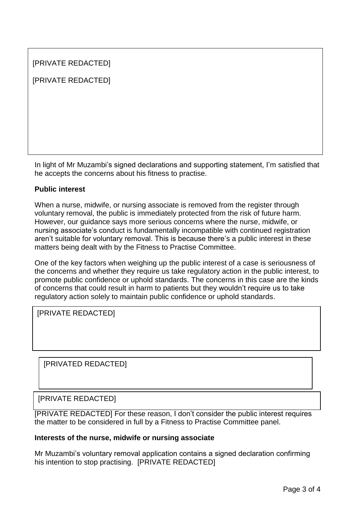| [PRIVATE REDACTED] |
|--------------------|
| [PRIVATE REDACTED] |
|                    |
|                    |
|                    |
|                    |

In light of Mr Muzambi's signed declarations and supporting statement, I'm satisfied that he accepts the concerns about his fitness to practise.

#### **Public interest**

When a nurse, midwife, or nursing associate is removed from the register through voluntary removal, the public is immediately protected from the risk of future harm. However, our guidance says more serious concerns where the nurse, midwife, or nursing associate's conduct is fundamentally incompatible with continued registration aren't suitable for voluntary removal. This is because there's a public interest in these matters being dealt with by the Fitness to Practise Committee.

One of the key factors when weighing up the public interest of a case is seriousness of the concerns and whether they require us take regulatory action in the public interest, to promote public confidence or uphold standards. The concerns in this case are the kinds of concerns that could result in harm to patients but they wouldn't require us to take regulatory action solely to maintain public confidence or uphold standards.

 $\lbrack$  [PRIVATE REDACTED] about  $\lbrack$ 

[PRIVATED REDACTED] the nurse, midwife, or nursing associate accepts that their fitness to practise is

#### [PRIVATE REDACTED] This case is unrelated conduct is a serious version of the Mr Muzambi is case. Having read M April 2022 statement, I'm satisfied he accepts that his fitness that his fitness to practice is impaired as a

[PRIVATE REDACTED] For these reason, I don't consider the public interest requires the matter to be considered in full by a Fitness to Practise Committee panel.

#### **Interests of the nurse, midwife or nursing associate**

Mr Muzambi's voluntary removal application contains a signed declaration confirming his intention to stop practising. [PRIVATE REDACTED]